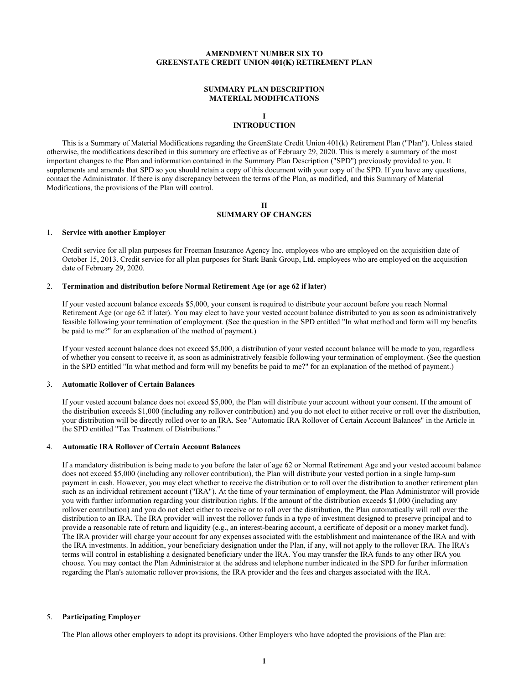## **AMENDMENT NUMBER SIX TO GREENSTATE CREDIT UNION 401(K) RETIREMENT PLAN**

### **SUMMARY PLAN DESCRIPTION MATERIAL MODIFICATIONS**

# **I**

# **INTRODUCTION**

This is a Summary of Material Modifications regarding the GreenState Credit Union 401(k) Retirement Plan ("Plan"). Unless stated otherwise, the modifications described in this summary are effective as of February 29, 2020. This is merely a summary of the most important changes to the Plan and information contained in the Summary Plan Description ("SPD") previously provided to you. It supplements and amends that SPD so you should retain a copy of this document with your copy of the SPD. If you have any questions, contact the Administrator. If there is any discrepancy between the terms of the Plan, as modified, and this Summary of Material Modifications, the provisions of the Plan will control.

## **II SUMMARY OF CHANGES**

## 1. **Service with another Employer**

Credit service for all plan purposes for Freeman Insurance Agency Inc. employees who are employed on the acquisition date of October 15, 2013. Credit service for all plan purposes for Stark Bank Group, Ltd. employees who are employed on the acquisition date of February 29, 2020.

#### 2. **Termination and distribution before Normal Retirement Age (or age 62 if later)**

If your vested account balance exceeds \$5,000, your consent is required to distribute your account before you reach Normal Retirement Age (or age 62 if later). You may elect to have your vested account balance distributed to you as soon as administratively feasible following your termination of employment. (See the question in the SPD entitled "In what method and form will my benefits be paid to me?" for an explanation of the method of payment.)

If your vested account balance does not exceed \$5,000, a distribution of your vested account balance will be made to you, regardless of whether you consent to receive it, as soon as administratively feasible following your termination of employment. (See the question in the SPD entitled "In what method and form will my benefits be paid to me?" for an explanation of the method of payment.)

## 3. **Automatic Rollover of Certain Balances**

If your vested account balance does not exceed \$5,000, the Plan will distribute your account without your consent. If the amount of the distribution exceeds \$1,000 (including any rollover contribution) and you do not elect to either receive or roll over the distribution, your distribution will be directly rolled over to an IRA. See "Automatic IRA Rollover of Certain Account Balances" in the Article in the SPD entitled "Tax Treatment of Distributions."

#### 4. **Automatic IRA Rollover of Certain Account Balances**

If a mandatory distribution is being made to you before the later of age 62 or Normal Retirement Age and your vested account balance does not exceed \$5,000 (including any rollover contribution), the Plan will distribute your vested portion in a single lump-sum payment in cash. However, you may elect whether to receive the distribution or to roll over the distribution to another retirement plan such as an individual retirement account ("IRA"). At the time of your termination of employment, the Plan Administrator will provide you with further information regarding your distribution rights. If the amount of the distribution exceeds \$1,000 (including any rollover contribution) and you do not elect either to receive or to roll over the distribution, the Plan automatically will roll over the distribution to an IRA. The IRA provider will invest the rollover funds in a type of investment designed to preserve principal and to provide a reasonable rate of return and liquidity (e.g., an interest-bearing account, a certificate of deposit or a money market fund). The IRA provider will charge your account for any expenses associated with the establishment and maintenance of the IRA and with the IRA investments. In addition, your beneficiary designation under the Plan, if any, will not apply to the rollover IRA. The IRA's terms will control in establishing a designated beneficiary under the IRA. You may transfer the IRA funds to any other IRA you choose. You may contact the Plan Administrator at the address and telephone number indicated in the SPD for further information regarding the Plan's automatic rollover provisions, the IRA provider and the fees and charges associated with the IRA.

## 5. **Participating Employer**

The Plan allows other employers to adopt its provisions. Other Employers who have adopted the provisions of the Plan are: